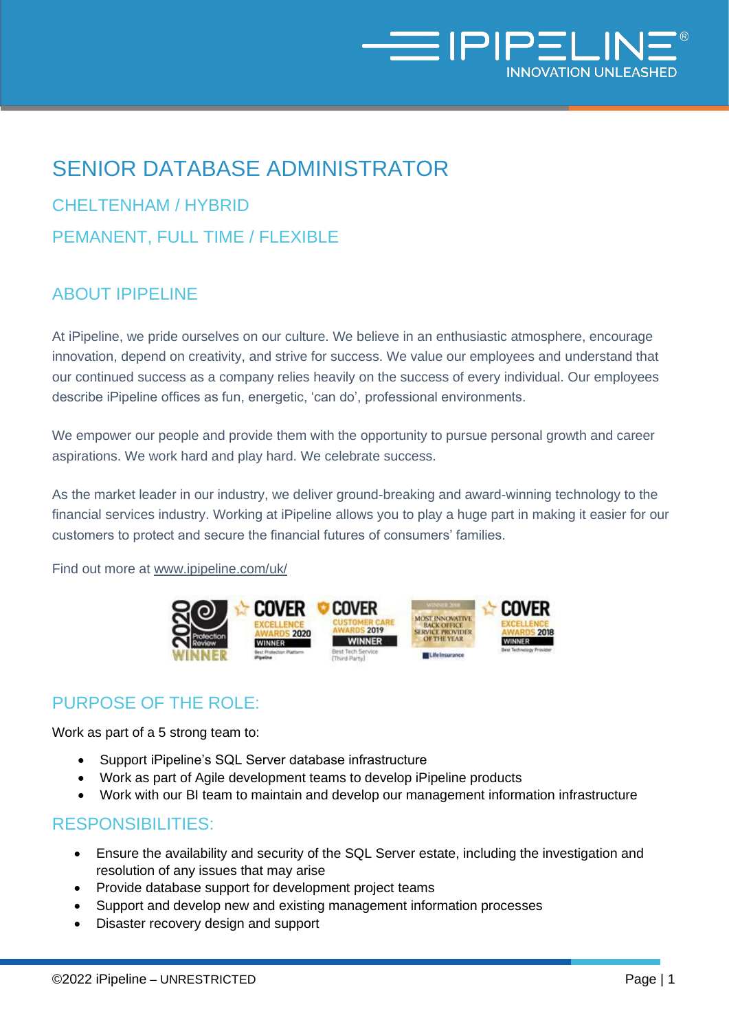

# SENIOR DATABASE ADMINISTRATOR

CHELTENHAM / HYBRID PEMANENT, FULL TIME / FLEXIBLE

## ABOUT IPIPELINE

At iPipeline, we pride ourselves on our culture. We believe in an enthusiastic atmosphere, encourage innovation, depend on creativity, and strive for success. We value our employees and understand that our continued success as a company relies heavily on the success of every individual. Our employees describe iPipeline offices as fun, energetic, 'can do', professional environments.

We empower our people and provide them with the opportunity to pursue personal growth and career aspirations. We work hard and play hard. We celebrate success.

As the market leader in our industry, we deliver ground-breaking and award-winning technology to the financial services industry. Working at iPipeline allows you to play a huge part in making it easier for our customers to protect and secure the financial futures of consumers' families.

Find out more at [www.ipipeline.com/uk/](http://www.ipipeline.com/uk/) 



# PURPOSE OF THE ROLE:

Work as part of a 5 strong team to:

- Support iPipeline's SQL Server database infrastructure
- Work as part of Agile development teams to develop iPipeline products
- Work with our BI team to maintain and develop our management information infrastructure

#### RESPONSIBILITIES:

- Ensure the availability and security of the SQL Server estate, including the investigation and resolution of any issues that may arise
- Provide database support for development project teams
- Support and develop new and existing management information processes
- Disaster recovery design and support